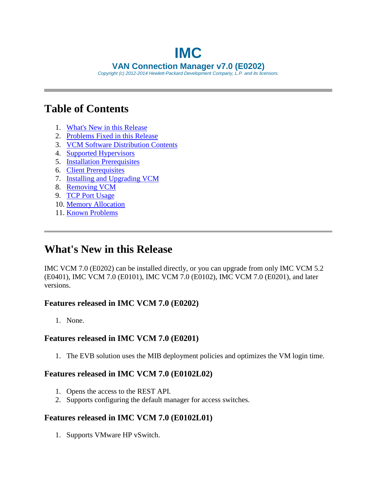# **IMC VAN Connection Manager v7.0 (E0202)**

*Copyright (c) 2012-2014 Hewlett-Packard Development Company, L.P. and its licensors.*

## <span id="page-0-1"></span>**Table of Contents**

- 1. [What's New in this Release](#page-0-0)
- 2. [Problems Fixed in this Release](#page-1-0)
- 3. [VCM Software Distribution Contents](#page-2-0)
- 4. Supported Hypervisors
- 5. [Installation Prerequisites](#page-2-1)
- 6. [Client Prerequisites](#page-4-0)
- 7. [Installing and Upgrading VCM](#page-5-0)
- 8. [Removing VCM](#page-6-0)
- 9. [TCP Port Usage](#page-6-1)
- 10. [Memory Allocation](#page-6-2)
- 11. Known Problems

## <span id="page-0-0"></span>**What's New in this Release**

IMC VCM 7.0 (E0202) can be installed directly, or you can upgrade from only IMC VCM 5.2 (E0401), IMC VCM 7.0 (E0101), IMC VCM 7.0 (E0102), IMC VCM 7.0 (E0201), and later versions.

#### **Features released in IMC VCM 7.0 (E0202)**

1. None.

#### **Features released in IMC VCM 7.0 (E0201)**

1. The EVB solution uses the MIB deployment policies and optimizes the VM login time.

#### **Features released in IMC VCM 7.0 (E0102L02)**

- 1. Opens the access to the REST API.
- 2. Supports configuring the default manager for access switches.

#### **Features released in IMC VCM 7.0 (E0102L01)**

1. Supports VMware HP vSwitch.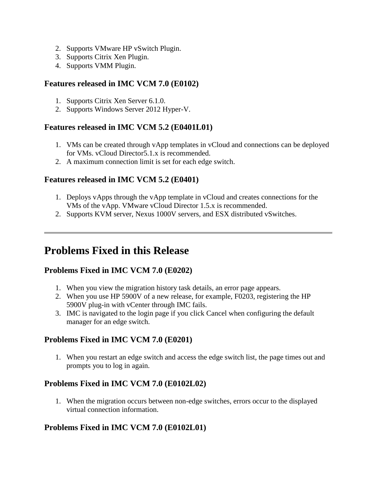- 2. Supports VMware HP vSwitch Plugin.
- 3. Supports Citrix Xen Plugin.
- 4. Supports VMM Plugin.

#### **Features released in IMC VCM 7.0 (E0102)**

- 1. Supports Citrix Xen Server 6.1.0.
- 2. Supports Windows Server 2012 Hyper-V.

#### **Features released in IMC VCM 5.2 (E0401L01)**

- 1. VMs can be created through vApp templates in vCloud and connections can be deployed for VMs. vCloud Director5.1.x is recommended.
- 2. A maximum connection limit is set for each edge switch.

#### **Features released in IMC VCM 5.2 (E0401)**

- 1. Deploys vApps through the vApp template in vCloud and creates connections for the VMs of the vApp. VMware vCloud Director 1.5.x is recommended.
- 2. Supports KVM server, Nexus 1000V servers, and ESX distributed vSwitches.

### <span id="page-1-0"></span>**Problems Fixed in this Release**

#### **Problems Fixed in IMC VCM 7.0 (E0202)**

- 1. When you view the migration history task details, an error page appears.
- 2. When you use HP 5900V of a new release, for example, F0203, registering the HP 5900V plug-in with vCenter through IMC fails.
- 3. IMC is navigated to the login page if you click Cancel when configuring the default manager for an edge switch.

#### **Problems Fixed in IMC VCM 7.0 (E0201)**

1. When you restart an edge switch and access the edge switch list, the page times out and prompts you to log in again.

#### **Problems Fixed in IMC VCM 7.0 (E0102L02)**

1. When the migration occurs between non-edge switches, errors occur to the displayed virtual connection information.

#### **Problems Fixed in IMC VCM 7.0 (E0102L01)**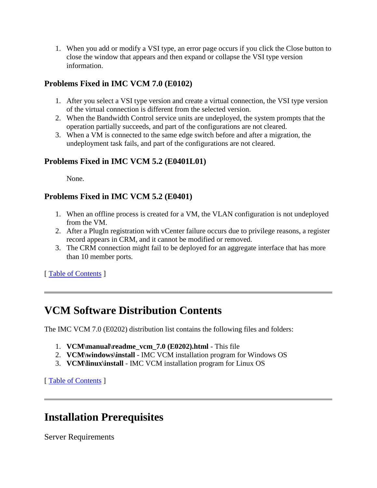1. When you add or modify a VSI type, an error page occurs if you click the Close button to close the window that appears and then expand or collapse the VSI type version information.

#### **Problems Fixed in IMC VCM 7.0 (E0102)**

- 1. After you select a VSI type version and create a virtual connection, the VSI type version of the virtual connection is different from the selected version.
- 2. When the Bandwidth Control service units are undeployed, the system prompts that the operation partially succeeds, and part of the configurations are not cleared.
- 3. When a VM is connected to the same edge switch before and after a migration, the undeployment task fails, and part of the configurations are not cleared.

#### **Problems Fixed in IMC VCM 5.2 (E0401L01)**

None.

#### **Problems Fixed in IMC VCM 5.2 (E0401)**

- 1. When an offline process is created for a VM, the VLAN configuration is not undeployed from the VM.
- 2. After a PlugIn registration with vCenter failure occurs due to privilege reasons, a register record appears in CRM, and it cannot be modified or removed.
- 3. The CRM connection might fail to be deployed for an aggregate interface that has more than 10 member ports.

[ [Table of Contents](#page-0-1) ]

## <span id="page-2-0"></span>**VCM Software Distribution Contents**

The IMC VCM 7.0 (E0202) distribution list contains the following files and folders:

- 1. **VCM\manual\readme\_vcm\_7.0 (E0202).html** This file
- 2. **VCM\windows\install** IMC VCM installation program for Windows OS
- 3. **VCM\linux\install** IMC VCM installation program for Linux OS

[ [Table of Contents](#page-0-1) ]

### <span id="page-2-1"></span>**Installation Prerequisites**

Server Requirements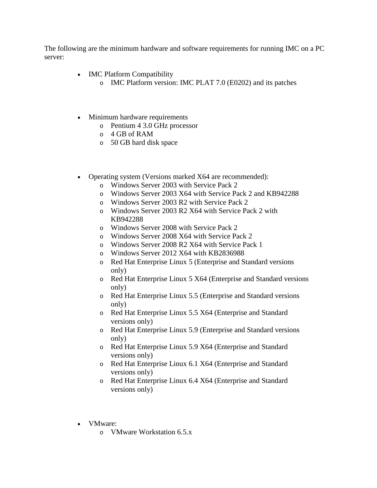The following are the minimum hardware and software requirements for running IMC on a PC server:

- IMC Platform Compatibility
	- o IMC Platform version: IMC PLAT 7.0 (E0202) and its patches
- Minimum hardware requirements
	- o Pentium 4 3.0 GHz processor
	- o 4 GB of RAM
	- o 50 GB hard disk space
- Operating system (Versions marked X64 are recommended):
	- o Windows Server 2003 with Service Pack 2
	- o Windows Server 2003 X64 with Service Pack 2 and KB942288
	- o Windows Server 2003 R2 with Service Pack 2
	- o Windows Server 2003 R2 X64 with Service Pack 2 with KB942288
	- o Windows Server 2008 with Service Pack 2
	- o Windows Server 2008 X64 with Service Pack 2
	- o Windows Server 2008 R2 X64 with Service Pack 1
	- o Windows Server 2012 X64 with KB2836988
	- o Red Hat Enterprise Linux 5 (Enterprise and Standard versions only)
	- o Red Hat Enterprise Linux 5 X64 (Enterprise and Standard versions only)
	- o Red Hat Enterprise Linux 5.5 (Enterprise and Standard versions only)
	- o Red Hat Enterprise Linux 5.5 X64 (Enterprise and Standard versions only)
	- o Red Hat Enterprise Linux 5.9 (Enterprise and Standard versions only)
	- o Red Hat Enterprise Linux 5.9 X64 (Enterprise and Standard versions only)
	- o Red Hat Enterprise Linux 6.1 X64 (Enterprise and Standard versions only)
	- o Red Hat Enterprise Linux 6.4 X64 (Enterprise and Standard versions only)
- VMware:
	- o VMware Workstation 6.5.x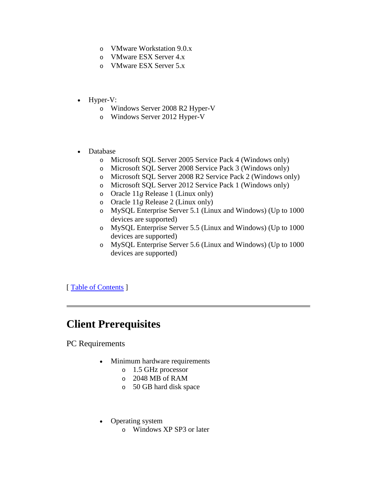- o VMware Workstation 9.0.x
- o VMware ESX Server 4.x
- o VMware ESX Server 5.x
- Hyper-V:
	- o Windows Server 2008 R2 Hyper-V
	- o Windows Server 2012 Hyper-V
- Database
	- o Microsoft SQL Server 2005 Service Pack 4 (Windows only)
	- o Microsoft SQL Server 2008 Service Pack 3 (Windows only)
	- o Microsoft SQL Server 2008 R2 Service Pack 2 (Windows only)
	- o Microsoft SQL Server 2012 Service Pack 1 (Windows only)
	- o Oracle 11*g* Release 1 (Linux only)
	- o Oracle 11*g* Release 2 (Linux only)
	- o MySQL Enterprise Server 5.1 (Linux and Windows) (Up to 1000 devices are supported)
	- o MySQL Enterprise Server 5.5 (Linux and Windows) (Up to 1000 devices are supported)
	- o MySQL Enterprise Server 5.6 (Linux and Windows) (Up to 1000 devices are supported)

[ [Table of Contents](#page-0-1) ]

### <span id="page-4-0"></span>**Client Prerequisites**

PC Requirements

- Minimum hardware requirements
	- o 1.5 GHz processor
	- o 2048 MB of RAM
	- o 50 GB hard disk space
- Operating system
	- o Windows XP SP3 or later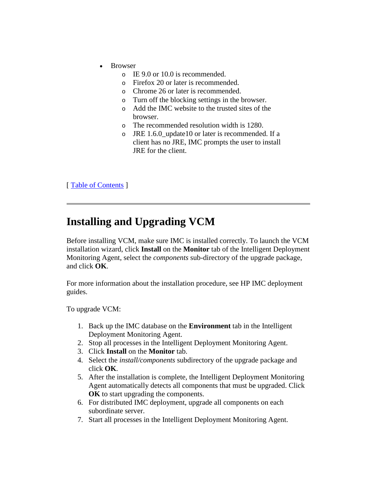- Browser
	- o IE 9.0 or 10.0 is recommended.
	- o Firefox 20 or later is recommended.
	- o Chrome 26 or later is recommended.
	- o Turn off the blocking settings in the browser.
	- o Add the IMC website to the trusted sites of the browser.
	- o The recommended resolution width is 1280.
	- o JRE 1.6.0\_update10 or later is recommended. If a client has no JRE, IMC prompts the user to install JRE for the client.

[ [Table of Contents](#page-0-1) ]

### <span id="page-5-0"></span>**Installing and Upgrading VCM**

Before installing VCM, make sure IMC is installed correctly. To launch the VCM installation wizard, click **Install** on the **Monitor** tab of the Intelligent Deployment Monitoring Agent, select the *components* sub-directory of the upgrade package, and click **OK**.

For more information about the installation procedure, see HP IMC deployment guides.

To upgrade VCM:

- 1. Back up the IMC database on the **Environment** tab in the Intelligent Deployment Monitoring Agent.
- 2. Stop all processes in the Intelligent Deployment Monitoring Agent.
- 3. Click **Install** on the **Monitor** tab.
- 4. Select the *install/components* subdirectory of the upgrade package and click **OK**.
- 5. After the installation is complete, the Intelligent Deployment Monitoring Agent automatically detects all components that must be upgraded. Click **OK** to start upgrading the components.
- 6. For distributed IMC deployment, upgrade all components on each subordinate server.
- 7. Start all processes in the Intelligent Deployment Monitoring Agent.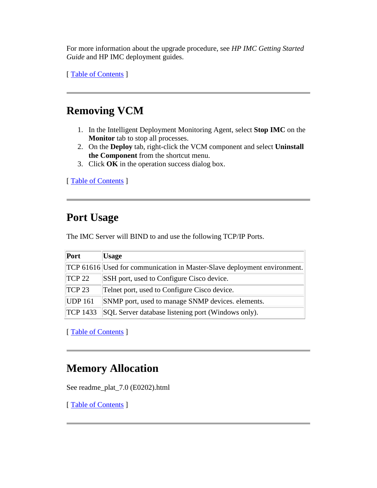For more information about the upgrade procedure, see *HP IMC Getting Started Guide* and HP IMC deployment guides.

[ [Table of Contents](#page-0-1) ]

## <span id="page-6-0"></span>**Removing VCM**

- 1. In the Intelligent Deployment Monitoring Agent, select **Stop IMC** on the **Monitor** tab to stop all processes.
- 2. On the **Deploy** tab, right-click the VCM component and select **Uninstall the Component** from the shortcut menu.
- 3. Click **OK** in the operation success dialog box.

[ [Table of Contents](#page-0-1) ]

### <span id="page-6-1"></span>**Port Usage**

The IMC Server will BIND to and use the following TCP/IP Ports.

| Port            | <b>Usage</b>                                                             |
|-----------------|--------------------------------------------------------------------------|
|                 | TCP 61616 Used for communication in Master-Slave deployment environment. |
| TCP22           | SSH port, used to Configure Cisco device.                                |
| TCP23           | Telnet port, used to Configure Cisco device.                             |
| UDP 161         | SNMP port, used to manage SNMP devices. elements.                        |
| <b>TCP 1433</b> | SQL Server database listening port (Windows only).                       |

[Table of Contents]

### <span id="page-6-2"></span>**Memory Allocation**

See readme\_plat\_7.0 (E0202).html

[ [Table of Contents](#page-0-1) ]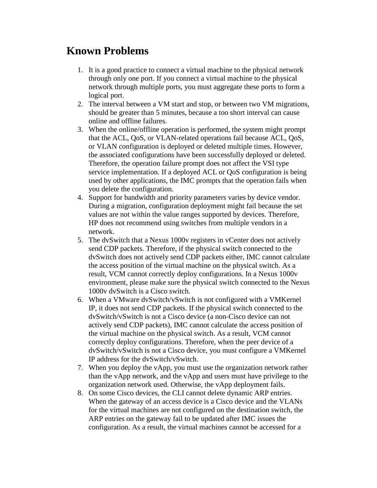## **Known Problems**

- 1. It is a good practice to connect a virtual machine to the physical network through only one port. If you connect a virtual machine to the physical network through multiple ports, you must aggregate these ports to form a logical port.
- 2. The interval between a VM start and stop, or between two VM migrations, should be greater than 5 minutes, because a too short interval can cause online and offline failures.
- 3. When the online/offline operation is performed, the system might prompt that the ACL, QoS, or VLAN-related operations fail because ACL, QoS, or VLAN configuration is deployed or deleted multiple times. However, the associated configurations have been successfully deployed or deleted. Therefore, the operation failure prompt does not affect the VSI type service implementation. If a deployed ACL or QoS configuration is being used by other applications, the IMC prompts that the operation fails when you delete the configuration.
- 4. Support for bandwidth and priority parameters varies by device vendor. During a migration, configuration deployment might fail because the set values are not within the value ranges supported by devices. Therefore, HP does not recommend using switches from multiple vendors in a network.
- 5. The dvSwitch that a Nexus 1000v registers in vCenter does not actively send CDP packets. Therefore, if the physical switch connected to the dvSwitch does not actively send CDP packets either, IMC cannot calculate the access position of the virtual machine on the physical switch. As a result, VCM cannot correctly deploy configurations. In a Nexus 1000v environment, please make sure the physical switch connected to the Nexus 1000v dvSwitch is a Cisco switch.
- 6. When a VMware dvSwitch/vSwitch is not configured with a VMKernel IP, it does not send CDP packets. If the physical switch connected to the dvSwitch/vSwitch is not a Cisco device (a non-Cisco device can not actively send CDP packets), IMC cannot calculate the access position of the virtual machine on the physical switch. As a result, VCM cannot correctly deploy configurations. Therefore, when the peer device of a dvSwitch/vSwitch is not a Cisco device, you must configure a VMKernel IP address for the dvSwitch/vSwitch.
- 7. When you deploy the vApp, you must use the organization network rather than the vApp network, and the vApp and users must have privilege to the organization network used. Otherwise, the vApp deployment fails.
- 8. On some Cisco devices, the CLI cannot delete dynamic ARP entries. When the gateway of an access device is a Cisco device and the VLANs for the virtual machines are not configured on the destination switch, the ARP entries on the gateway fail to be updated after IMC issues the configuration. As a result, the virtual machines cannot be accessed for a